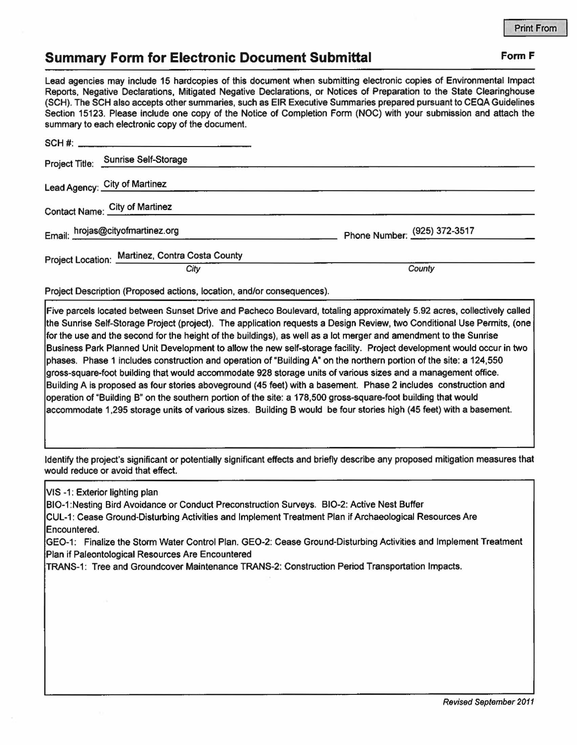## **Summary Form for Electronic Document Submittal Form F Form F**

Lead agencies may include 15 hardcopies of this document when submitting electronic copies of Environmental Impact Reports, Negative Declarations, Mitigated Negative Declarations, or Notices of Preparation to the State Clearinghouse (SCH). The SCH also accepts other summaries, such as EIR Executive Summaries prepared pursuant to CEOA Guidelines Section 15123. Please include one copy of the Notice of Completion Form (NOC) with your submission and attach the summary to each electronic copy of the document.

|                                  | Project Title: Sunrise Self-Storage             |                              |
|----------------------------------|-------------------------------------------------|------------------------------|
|                                  | Lead Agency: City of Martinez                   |                              |
| Contact Name: City of Martinez   |                                                 |                              |
| Email: hrojas@cityofmartinez.org |                                                 | Phone Number: (925) 372-3517 |
|                                  | Project Location: Martinez, Contra Costa County |                              |
|                                  | City                                            | County                       |

Project Description (Proposed actions, location, and/or consequences).

Five parcels located between Sunset Drive and Pacheco Boulevard, totaling approximately 5.92 acres, collectively called the Sunrise Self-Storage Project (project). The application requests a Design Review, two Conditional Use Permits, (one for the use and the second for the height of the buildings), as well as a lot merger and amendment to the Sunrise Business Park Planned Unit Development to allow the new self-storage facility. Project development would occur in two phases. Phase 1 includes construction and operation of "Building A" on the northern portion of the site: a 124,550 gross-square-foot building that would accommodate 928 storage units of various sizes and a management office. Building A is proposed as four stories aboveground (45 feet) with a basement. Phase 2 includes construction and operation of "Building B" on the southern portion of the site: a 178,500 gross-square-fool building that would accommodate 1,295 storage units of various sizes. Building B would be four stories high (45 feet) with a basement.

Identify the project's significant or potentially significant effects and briefly describe any proposed mitigation measures that would reduce or avoid that effect.

VIS -1: Exterior lighting plan

B10-1 :Nesting Bird Avoidance or Conduct Preconstruction Surveys. BI0-2: Active Nest Buffer CUL-1: Cease Ground-Disturbing Activities and Implement Treatment Plan if Archaeological Resources Are Encountered.

GEO-1 : Finalize the Storm Water Control Plan. GEO-2: Cease Ground-Disturbing Activities and Implement Treatment Plan if Paleontological Resources Are Encountered

TRANS-1 : Tree and Groundcover Maintenance TRANS-2: Construction Period Transportation Impacts.